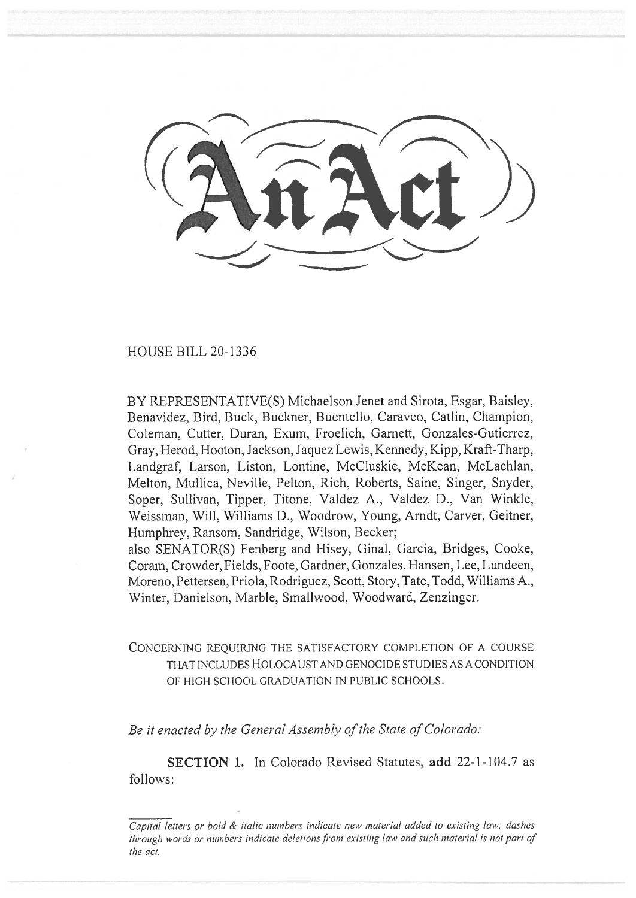HOUSE BILL 20-1336

BY REPRESENTATIVE(S) Michaelson Jenet and Sirota, Esgar, Baisley, Benavidez, Bird, Buck, Buckner, Buentello, Caraveo, Catlin, Champion, Coleman, Cutter, Duran, Exum, Froelich, Garnett, Gonzales-Gutierrez, Gray, Herod, Hooton, Jackson, Jaquez Lewis, Kennedy, Kipp, Kraft-Tharp, Landgraf, Larson, Liston, Lontine, McCluskie, McKean, McLachlan, Melton, Mullica, Neville, Pelton, Rich, Roberts, Saine, Singer, Snyder, Soper, Sullivan, Tipper, Titone, Valdez A., Valdez D., Van Winkle, Weissman, Will, Williams D., Woodrow, Young, Arndt, Carver, Geitner, Humphrey, Ransom, Sandridge, Wilson, Becker;

also SENATOR(S) Fenberg and Hisey, Ginal, Garcia, Bridges, Cooke, Coram, Crowder, Fields, Foote, Gardner, Gonzales, Hansen, Lee, Lundeen, Moreno, Pettersen, Priola, Rodriguez, Scott, Story, Tate, Todd, Williams A., Winter, Danielson, Marble, Smallwood, Woodward, Zenzinger.

## CONCERNING REQUIRING THE SATISFACTORY COMPLETION OF A COURSE THAT INCLUDES HOLOCAUST AND GENOCIDE STUDIES AS A CONDITION OF HIGH SCHOOL GRADUATION IN PUBLIC SCHOOLS.

*Be it enacted by the General Assembly of the State of Colorado:* 

SECTION 1. In Colorado Revised Statutes, add 22-1-104.7 as follows:

*Capital letters or bold & italic numbers indicate new material added to existing law; dashes through words or numbers indicate deletions from existing law and such material is not part of the act.*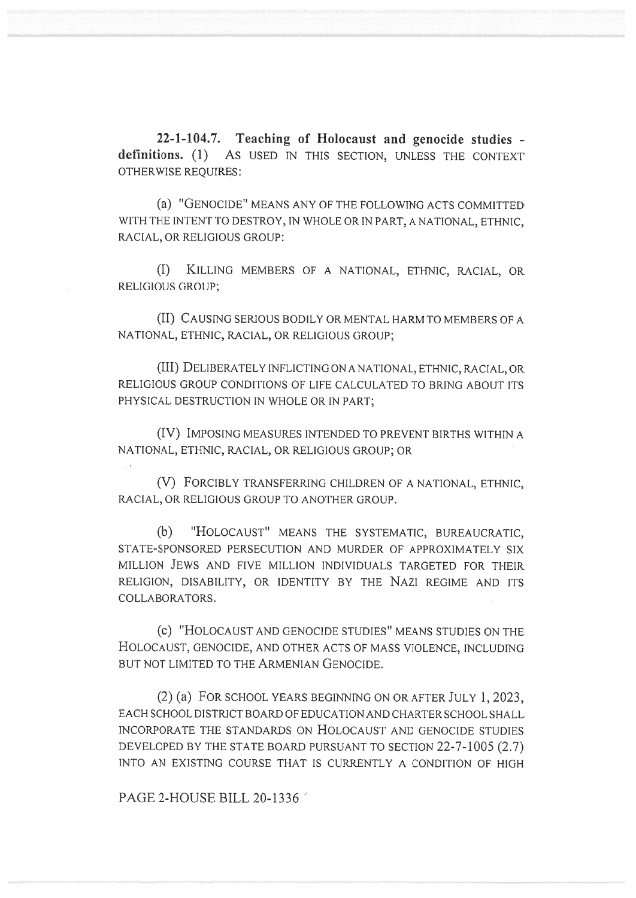**22-1-104.7. Teaching of Holocaust and genocide studies definitions.** (1) **As** USED IN THIS SECTION, UNLESS THE CONTEXT OTHERWISE REQUIRES:

(a) "GENOCIDE" MEANS ANY OF THE FOLLOWING ACTS COMMITTED WITH THE INTENT TO DESTROY, IN WHOLE OR IN PART, A NATIONAL, ETHNIC, RACIAL, OR RELIGIOUS GROUP:

(I) KILLING MEMBERS OF A NATIONAL, ETHNIC, RACIAL, OR RELIGIOUS GROUP;

(II) CAUSING SERIOUS BODILY OR MENTAL HARM TO MEMBERS OF A NATIONAL, ETHNIC, RACIAL, OR RELIGIOUS GROUP;

(III) DELIBERATELY INFLICTING ON A NATIONAL, ETHNIC, RACIAL, OR RELIGIOUS GROUP CONDITIONS OF LIFE CALCULATED TO BRING ABOUT ITS PHYSICAL DESTRUCTION IN WHOLE OR IN PART;

(IV) IMPOSING MEASURES INTENDED TO PREVENT BIRTHS WITHIN A NATIONAL, ETHNIC, RACIAL, OR RELIGIOUS GROUP; OR

(V) FORCIBLY TRANSFERRING CHILDREN OF A NATIONAL, ETHNIC, RACIAL, OR RELIGIOUS GROUP TO ANOTHER GROUP.

(b) "HOLOCAUST" MEANS THE SYSTEMATIC, BUREAUCRATIC, STATE-SPONSORED PERSECUTION AND MURDER OF APPROXIMATELY SIX MILLION JEWS AND FIVE MILLION INDIVIDUALS TARGETED FOR THEIR RELIGION, DISABILITY, OR IDENTITY BY THE NAZI REGIME AND ITS COLLABORATORS.

(c) "HOLOCAUST AND GENOCIDE STUDIES" MEANS STUDIES ON THE HOLOCAUST, GENOCIDE, AND OTHER ACTS OF MASS VIOLENCE, INCLUDING BUT NOT LIMITED TO THE ARMENIAN GENOCIDE.

(2) (a) FOR SCHOOL YEARS BEGINNING ON OR AFTER JULY 1, 2023, EACH SCHOOL DISTRICT BOARD OF EDUCATION AND CHARTER SCHOOL SHALL INCORPORATE THE STANDARDS ON HOLOCAUST AND GENOCIDE STUDIES DEVELOPED BY THE STATE BOARD PURSUANT TO SECTION 22-7-1005 (2.7) INTO AN EXISTING COURSE THAT IS CURRENTLY A CONDITION OF HIGH

PAGE 2-HOUSE BILL 20-1336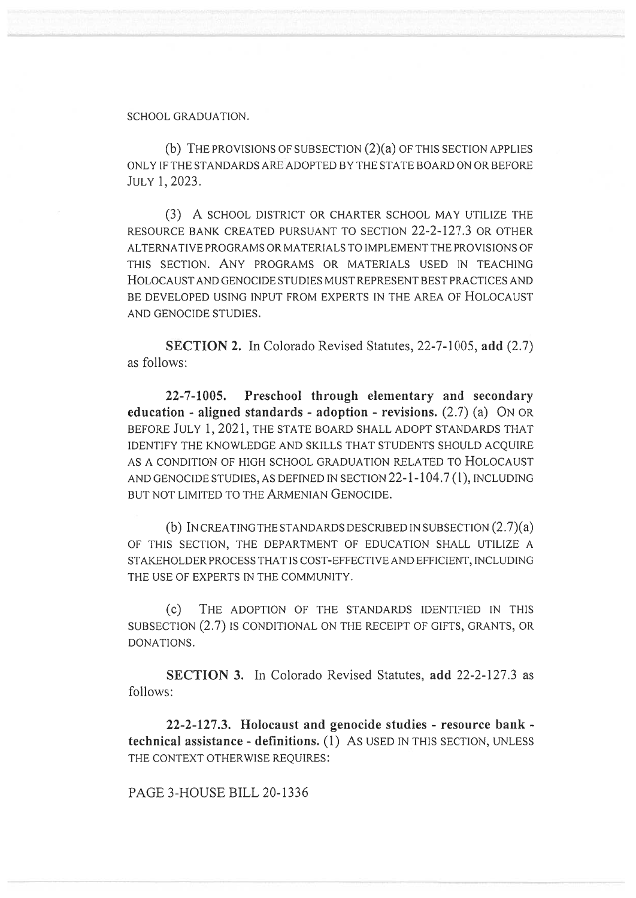## SCHOOL GRADUATION.

(b) THE PROVISIONS OF SUBSECTION (2)(a) OF THIS SECTION APPLIES ONLY IF THE STANDARDS ARE ADOPTED BY THE STATE BOARD ON OR BEFORE JULY 1, 2023.

(3) A SCHOOL DISTRICT OR CHARTER SCHOOL MAY UTILIZE THE RESOURCE BANK CREATED PURSUANT TO SECTION 22-2-127.3 OR OTHER ALTERNATIVE PROGRAMS OR MATERIALS TO IMPLEMENT THE PROVISIONS OF THIS SECTION. ANY PROGRAMS OR MATERIALS USED IN TEACHING HOLOCAUST AND GENOCIDE STUDIES MUST REPRESENT BEST PRACTICES AND BE DEVELOPED USING INPUT FROM EXPERTS IN THE AREA OF HOLOCAUST AND GENOCIDE STUDIES.

**SECTION 2.** In Colorado Revised Statutes, 22-7-1005, **add** (2.7) as follows:

**22-7-1005. Preschool through elementary and secondary education - aligned standards - adoption - revisions.** (2.7) (a) ON OR BEFORE JULY 1, 2021, THE STATE BOARD SHALL ADOPT STANDARDS THAT IDENTIFY THE KNOWLEDGE AND SKILLS THAT STUDENTS SHOULD ACQUIRE AS A CONDITION OF HIGH SCHOOL GRADUATION RELATED TO HOLOCAUST AND GENOCIDE STUDIES, AS DEFINED IN SECTION 22-1-104.7 (1), INCLUDING BUT NOT LIMITED TO THE ARMENIAN GENOCIDE.

(b) IN CREATING THE STANDARDS DESCRIBED IN SUBSECTION (2.7)(a) OF THIS SECTION, THE DEPARTMENT OF EDUCATION SHALL UTILIZE A STAKEHOLDER PROCESS THAT IS COST-EFFECTIVE AND EFFICIENT, INCLUDING THE USE OF EXPERTS IN THE COMMUNITY.

(c) THE ADOPTION OF THE STANDARDS IDENTIFIED IN THIS SUBSECTION (2.7) IS CONDITIONAL ON THE RECEIPT OF GIFTS, GRANTS, OR DONATIONS.

**SECTION 3.** In Colorado Revised Statutes, **add** 22-2-127.3 as follows:

**22-2-127.3. Holocaust and genocide studies - resource bank technical assistance - definitions.** (1) As USED IN THIS SECTION, UNLESS THE CONTEXT OTHERWISE REQUIRES:

PAGE 3-HOUSE BILL 20-1336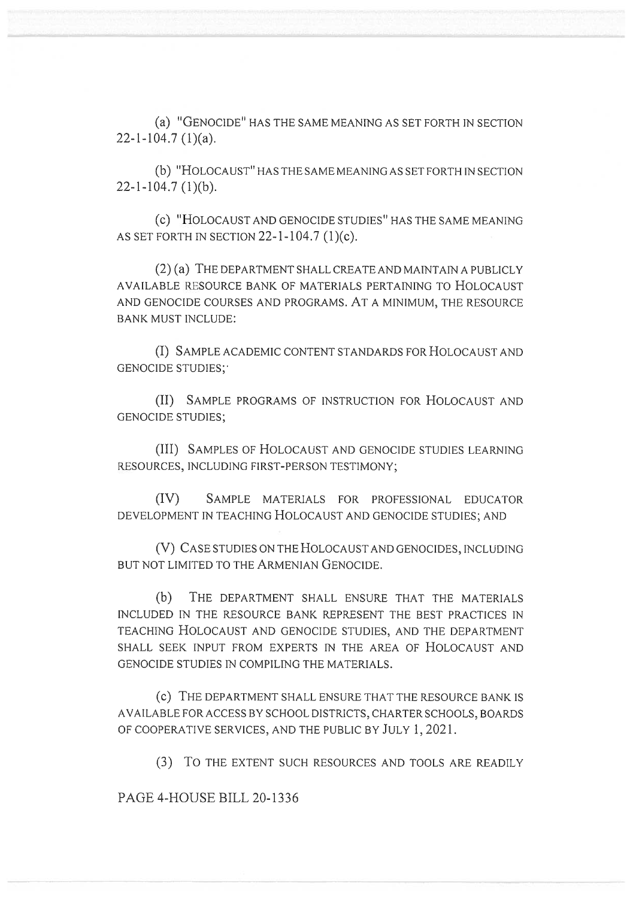(a) "GENOCIDE" HAS THE SAME MEANING AS SET FORTH IN SECTION 22-1-104.7 (1)(a).

(b) "HOLOCAUST" HAS THE SAME MEANING AS SET FORTH IN SECTION  $22 - 1 - 104.7$  (1)(b).

(c) "HOLOCAUST AND GENOCIDE STUDIES" HAS THE SAME MEANING AS SET FORTH IN SECTION 22-1-104.7 (1)(c).

(2) (a) THE DEPARTMENT SHALL CREATE AND MAINTAIN A PUBLICLY AVAILABLE RESOURCE BANK OF MATERIALS PERTAINING TO HOLOCAUST AND GENOCIDE COURSES AND PROGRAMS. AT A MINIMUM, THE RESOURCE BANK MUST INCLUDE:

(I) SAMPLE ACADEMIC CONTENT STANDARDS FOR HOLOCAUST AND GENOCIDE STUDIES;'

(II) SAMPLE PROGRAMS OF INSTRUCTION FOR HOLOCAUST AND GENOCIDE STUDIES;

(III) SAMPLES OF HOLOCAUST AND GENOCIDE STUDIES LEARNING RESOURCES, INCLUDING FIRST-PERSON TESTIMONY;

(IV) SAMPLE MATERIALS FOR PROFESSIONAL EDUCATOR DEVELOPMENT IN TEACHING HOLOCAUST AND GENOCIDE STUDIES; AND

(V) CASE STUDIES ON THE HOLOCAUST AND GENOCIDES, INCLUDING BUT NOT LIMITED TO THE ARMENIAN GENOCIDE.

(b) THE DEPARTMENT SHALL ENSURE THAT THE MATERIALS INCLUDED IN THE RESOURCE BANK REPRESENT THE BEST PRACTICES IN TEACHING HOLOCAUST AND GENOCIDE STUDIES, AND THE DEPARTMENT SHALL SEEK INPUT FROM EXPERTS IN THE AREA OF HOLOCAUST AND GENOCIDE STUDIES IN COMPILING THE MATERIALS.

(c) THE DEPARTMENT SHALL ENSURE THAT THE RESOURCE BANK IS AVAILABLE FOR ACCESS BY SCHOOL DISTRICTS, CHARTER SCHOOLS, BOARDS OF COOPERATIVE SERVICES, AND THE PUBLIC BY JULY 1, 2021.

(3) To THE EXTENT SUCH RESOURCES AND TOOLS ARE READILY

PAGE 4-HOUSE BILL 20-1336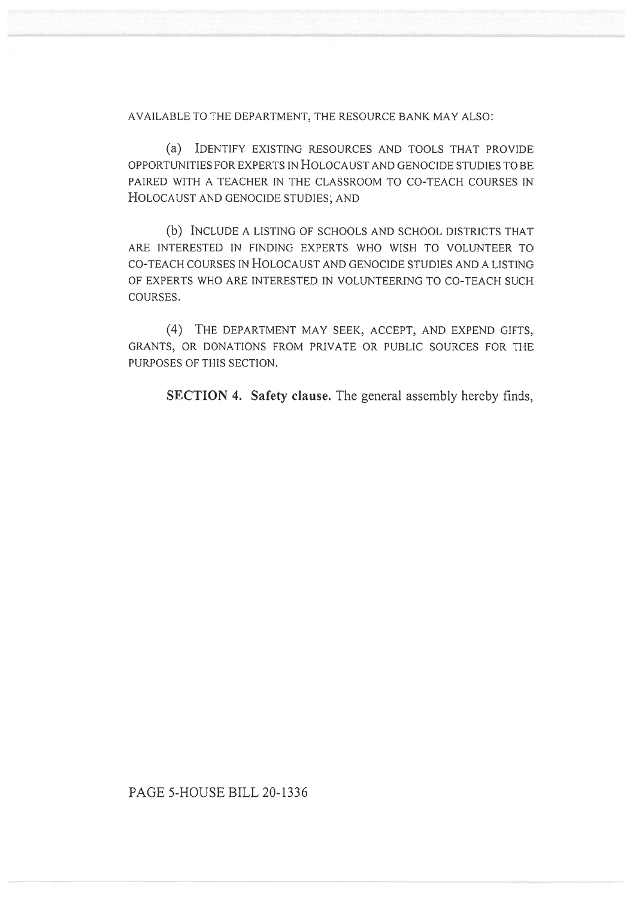AVAILABLE TO THE DEPARTMENT, THE RESOURCE BANK MAY ALSO:

(a) IDENTIFY EXISTING RESOURCES AND TOOLS THAT PROVIDE OPPORTUNITIES FOR EXPERTS IN HOLOCAUST AND GENOCIDE STUDIES TO BE PAIRED WITH A TEACHER IN THE CLASSROOM TO CO-TEACH COURSES IN HOLOCAUST AND GENOCIDE STUDIES; AND

(b) INCLUDE A LISTING OF SCHOOLS AND SCHOOL DISTRICTS THAT ARE INTERESTED IN FINDING EXPERTS WHO WISH TO VOLUNTEER TO CO-TEACH COURSES IN HOLOCAUST AND GENOCIDE STUDIES AND A LISTING OF EXPERTS WHO ARE INTERESTED IN VOLUNTEERING TO CO-TEACH SUCH COURSES.

(4) THE DEPARTMENT MAY SEEK, ACCEPT, AND EXPEND GIFTS, GRANTS, OR DONATIONS FROM PRIVATE OR PUBLIC SOURCES FOR THE PURPOSES OF THIS SECTION.

**SECTION 4. Safety clause.** The general assembly hereby finds,

## PAGE 5-HOUSE BILL 20-1336